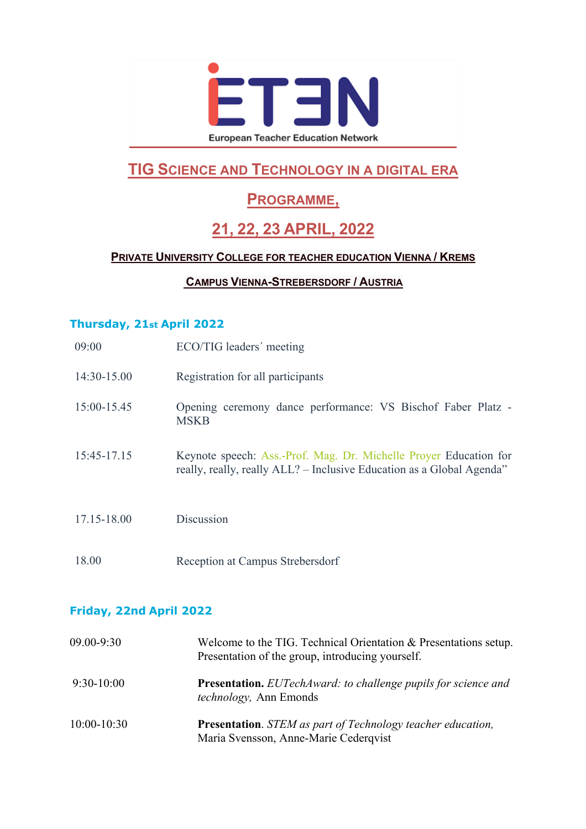

# **TIG SCIENCE AND TECHNOLOGY IN A DIGITAL ERA**

## **PROGRAMME,**

# **21, 22, 23 APRIL, 2022**

### **PRIVATE UNIVERSITY COLLEGE FOR TEACHER EDUCATION VIENNA / KREMS**

#### **CAMPUS VIENNA-STREBERSDORF / AUSTRIA**

#### **Thursday, 21st April 2022**

| 09:00       | ECO/TIG leaders' meeting                                                                                                                   |
|-------------|--------------------------------------------------------------------------------------------------------------------------------------------|
| 14:30-15.00 | Registration for all participants                                                                                                          |
| 15:00-15.45 | Opening ceremony dance performance: VS Bischof Faber Platz -<br><b>MSKB</b>                                                                |
| 15:45-17.15 | Keynote speech: Ass.-Prof. Mag. Dr. Michelle Proyer Education for<br>really, really, really ALL? – Inclusive Education as a Global Agenda" |
| 17.15-18.00 | Discussion                                                                                                                                 |
| 18.00       | Reception at Campus Strebersdorf                                                                                                           |

#### **Friday, 22nd April 2022**

| 09.00-9:30    | Welcome to the TIG. Technical Orientation & Presentations setup.<br>Presentation of the group, introducing yourself. |
|---------------|----------------------------------------------------------------------------------------------------------------------|
| $9:30-10:00$  | <b>Presentation.</b> EUTechAward: to challenge pupils for science and<br><i>technology</i> , Ann Emonds              |
| $10:00-10:30$ | <b>Presentation.</b> STEM as part of Technology teacher education,<br>Maria Svensson, Anne-Marie Cederqvist          |